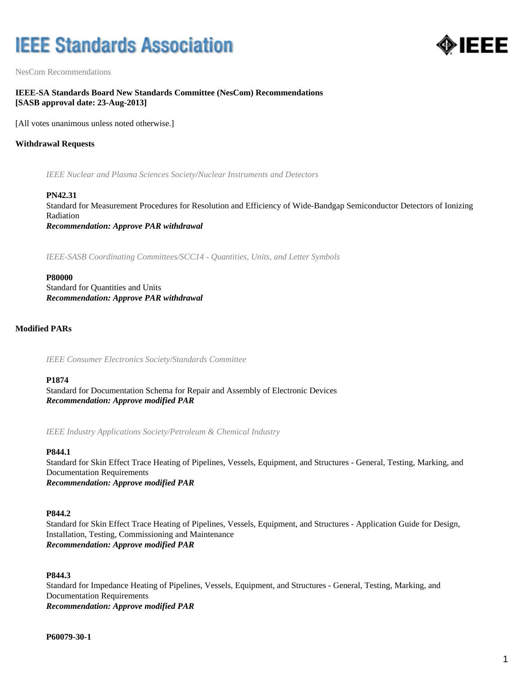# **IEEE Standards Association**



NesCom Recommendations

# **IEEE-SA Standards Board New Standards Committee (NesCom) Recommendations [SASB approval date: 23-Aug-2013]**

[All votes unanimous unless noted otherwise.]

# **Withdrawal Requests**

*IEEE Nuclear and Plasma Sciences Society/Nuclear Instruments and Detectors*

## **PN42.31**

Standard for Measurement Procedures for Resolution and Efficiency of Wide-Bandgap Semiconductor Detectors of Ionizing Radiation *Recommendation: Approve PAR withdrawal*

*IEEE-SASB Coordinating Committees/SCC14 - Quantities, Units, and Letter Symbols*

#### **P80000**

Standard for Quantities and Units *Recommendation: Approve PAR withdrawal*

# **Modified PARs**

*IEEE Consumer Electronics Society/Standards Committee*

## **P1874**

Standard for Documentation Schema for Repair and Assembly of Electronic Devices *Recommendation: Approve modified PAR*

*IEEE Industry Applications Society/Petroleum & Chemical Industry*

## **P844.1**

Standard for Skin Effect Trace Heating of Pipelines, Vessels, Equipment, and Structures - General, Testing, Marking, and Documentation Requirements *Recommendation: Approve modified PAR*

## **P844.2**

Standard for Skin Effect Trace Heating of Pipelines, Vessels, Equipment, and Structures - Application Guide for Design, Installation, Testing, Commissioning and Maintenance *Recommendation: Approve modified PAR*

## **P844.3**

Standard for Impedance Heating of Pipelines, Vessels, Equipment, and Structures - General, Testing, Marking, and Documentation Requirements *Recommendation: Approve modified PAR*

**P60079-30-1**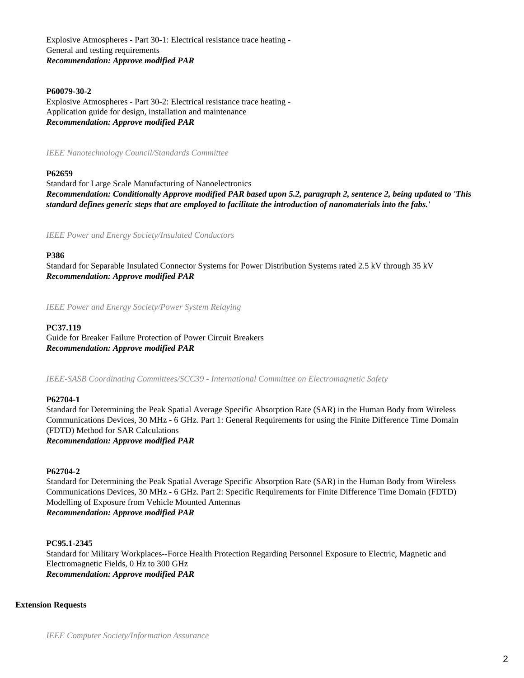Explosive Atmospheres - Part 30-1: Electrical resistance trace heating - General and testing requirements *Recommendation: Approve modified PAR*

# **P60079-30-2**

Explosive Atmospheres - Part 30-2: Electrical resistance trace heating - Application guide for design, installation and maintenance *Recommendation: Approve modified PAR*

*IEEE Nanotechnology Council/Standards Committee*

## **P62659**

Standard for Large Scale Manufacturing of Nanoelectronics *Recommendation: Conditionally Approve modified PAR based upon 5.2, paragraph 2, sentence 2, being updated to 'This standard defines generic steps that are employed to facilitate the introduction of nanomaterials into the fabs.'*

*IEEE Power and Energy Society/Insulated Conductors*

#### **P386**

Standard for Separable Insulated Connector Systems for Power Distribution Systems rated 2.5 kV through 35 kV *Recommendation: Approve modified PAR*

*IEEE Power and Energy Society/Power System Relaying*

## **PC37.119**

Guide for Breaker Failure Protection of Power Circuit Breakers *Recommendation: Approve modified PAR*

*IEEE-SASB Coordinating Committees/SCC39 - International Committee on Electromagnetic Safety*

# **P62704-1**

Standard for Determining the Peak Spatial Average Specific Absorption Rate (SAR) in the Human Body from Wireless Communications Devices, 30 MHz - 6 GHz. Part 1: General Requirements for using the Finite Difference Time Domain (FDTD) Method for SAR Calculations

*Recommendation: Approve modified PAR*

# **P62704-2**

Standard for Determining the Peak Spatial Average Specific Absorption Rate (SAR) in the Human Body from Wireless Communications Devices, 30 MHz - 6 GHz. Part 2: Specific Requirements for Finite Difference Time Domain (FDTD) Modelling of Exposure from Vehicle Mounted Antennas *Recommendation: Approve modified PAR*

## **PC95.1-2345**

Standard for Military Workplaces--Force Health Protection Regarding Personnel Exposure to Electric, Magnetic and Electromagnetic Fields, 0 Hz to 300 GHz *Recommendation: Approve modified PAR*

## **Extension Requests**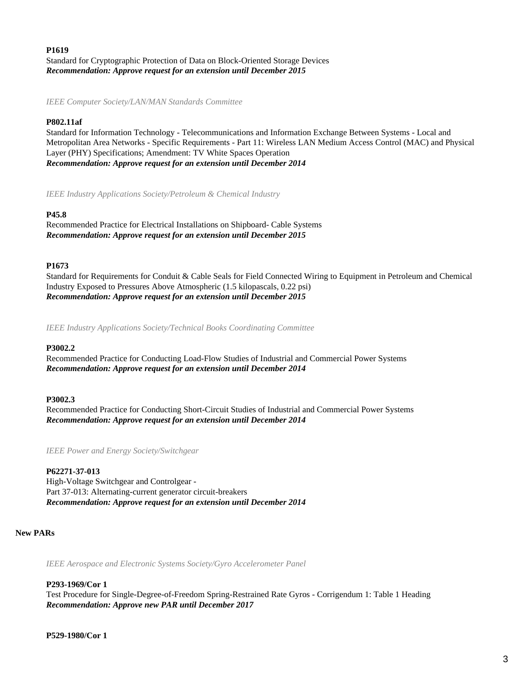# **P1619** Standard for Cryptographic Protection of Data on Block-Oriented Storage Devices *Recommendation: Approve request for an extension until December 2015*

*IEEE Computer Society/LAN/MAN Standards Committee*

# **P802.11af**

Standard for Information Technology - Telecommunications and Information Exchange Between Systems - Local and Metropolitan Area Networks - Specific Requirements - Part 11: Wireless LAN Medium Access Control (MAC) and Physical Layer (PHY) Specifications; Amendment: TV White Spaces Operation *Recommendation: Approve request for an extension until December 2014*

*IEEE Industry Applications Society/Petroleum & Chemical Industry*

#### **P45.8**

Recommended Practice for Electrical Installations on Shipboard- Cable Systems *Recommendation: Approve request for an extension until December 2015*

#### **P1673**

Standard for Requirements for Conduit & Cable Seals for Field Connected Wiring to Equipment in Petroleum and Chemical Industry Exposed to Pressures Above Atmospheric (1.5 kilopascals, 0.22 psi) *Recommendation: Approve request for an extension until December 2015*

*IEEE Industry Applications Society/Technical Books Coordinating Committee*

#### **P3002.2**

Recommended Practice for Conducting Load-Flow Studies of Industrial and Commercial Power Systems *Recommendation: Approve request for an extension until December 2014*

#### **P3002.3**

Recommended Practice for Conducting Short-Circuit Studies of Industrial and Commercial Power Systems *Recommendation: Approve request for an extension until December 2014*

*IEEE Power and Energy Society/Switchgear*

#### **P62271-37-013**

High-Voltage Switchgear and Controlgear - Part 37-013: Alternating-current generator circuit-breakers *Recommendation: Approve request for an extension until December 2014*

#### **New PARs**

*IEEE Aerospace and Electronic Systems Society/Gyro Accelerometer Panel*

## **P293-1969/Cor 1**

Test Procedure for Single-Degree-of-Freedom Spring-Restrained Rate Gyros - Corrigendum 1: Table 1 Heading *Recommendation: Approve new PAR until December 2017*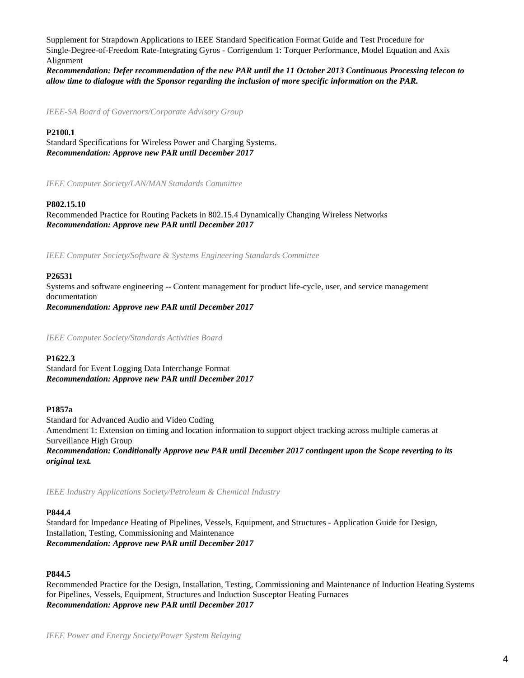Supplement for Strapdown Applications to IEEE Standard Specification Format Guide and Test Procedure for Single-Degree-of-Freedom Rate-Integrating Gyros - Corrigendum 1: Torquer Performance, Model Equation and Axis Alignment

*Recommendation: Defer recommendation of the new PAR until the 11 October 2013 Continuous Processing telecon to allow time to dialogue with the Sponsor regarding the inclusion of more specific information on the PAR.*

*IEEE-SA Board of Governors/Corporate Advisory Group*

# **P2100.1**

Standard Specifications for Wireless Power and Charging Systems. *Recommendation: Approve new PAR until December 2017*

*IEEE Computer Society/LAN/MAN Standards Committee*

# **P802.15.10**

Recommended Practice for Routing Packets in 802.15.4 Dynamically Changing Wireless Networks *Recommendation: Approve new PAR until December 2017*

*IEEE Computer Society/Software & Systems Engineering Standards Committee*

## **P26531**

Systems and software engineering -- Content management for product life-cycle, user, and service management documentation *Recommendation: Approve new PAR until December 2017*

*IEEE Computer Society/Standards Activities Board*

## **P1622.3**

Standard for Event Logging Data Interchange Format *Recommendation: Approve new PAR until December 2017*

## **P1857a**

Standard for Advanced Audio and Video Coding Amendment 1: Extension on timing and location information to support object tracking across multiple cameras at Surveillance High Group *Recommendation: Conditionally Approve new PAR until December 2017 contingent upon the Scope reverting to its original text.*

*IEEE Industry Applications Society/Petroleum & Chemical Industry*

# **P844.4**

Standard for Impedance Heating of Pipelines, Vessels, Equipment, and Structures - Application Guide for Design, Installation, Testing, Commissioning and Maintenance *Recommendation: Approve new PAR until December 2017*

# **P844.5**

Recommended Practice for the Design, Installation, Testing, Commissioning and Maintenance of Induction Heating Systems for Pipelines, Vessels, Equipment, Structures and Induction Susceptor Heating Furnaces *Recommendation: Approve new PAR until December 2017*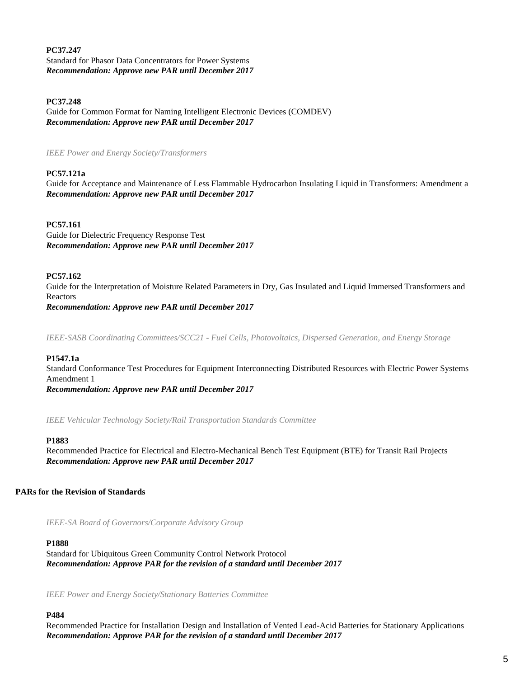**PC37.247** Standard for Phasor Data Concentrators for Power Systems *Recommendation: Approve new PAR until December 2017*

**PC37.248**

Guide for Common Format for Naming Intelligent Electronic Devices (COMDEV) *Recommendation: Approve new PAR until December 2017*

*IEEE Power and Energy Society/Transformers*

# **PC57.121a**

Guide for Acceptance and Maintenance of Less Flammable Hydrocarbon Insulating Liquid in Transformers: Amendment a *Recommendation: Approve new PAR until December 2017*

## **PC57.161**

Guide for Dielectric Frequency Response Test *Recommendation: Approve new PAR until December 2017*

## **PC57.162**

Guide for the Interpretation of Moisture Related Parameters in Dry, Gas Insulated and Liquid Immersed Transformers and Reactors *Recommendation: Approve new PAR until December 2017*

*IEEE-SASB Coordinating Committees/SCC21 - Fuel Cells, Photovoltaics, Dispersed Generation, and Energy Storage*

## **P1547.1a**

Standard Conformance Test Procedures for Equipment Interconnecting Distributed Resources with Electric Power Systems Amendment 1 *Recommendation: Approve new PAR until December 2017*

*IEEE Vehicular Technology Society/Rail Transportation Standards Committee*

## **P1883**

Recommended Practice for Electrical and Electro-Mechanical Bench Test Equipment (BTE) for Transit Rail Projects *Recommendation: Approve new PAR until December 2017*

# **PARs for the Revision of Standards**

*IEEE-SA Board of Governors/Corporate Advisory Group*

# **P1888**

Standard for Ubiquitous Green Community Control Network Protocol *Recommendation: Approve PAR for the revision of a standard until December 2017*

*IEEE Power and Energy Society/Stationary Batteries Committee*

## **P484**

Recommended Practice for Installation Design and Installation of Vented Lead-Acid Batteries for Stationary Applications *Recommendation: Approve PAR for the revision of a standard until December 2017*